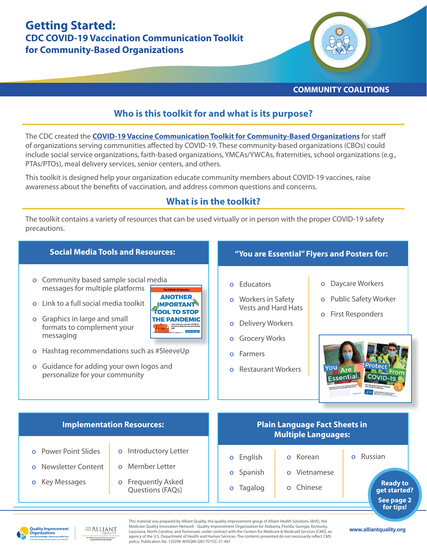# **Getting Started: CDC COVID-19 Vaccination Communication Toolkit for Community-Based Organizations**



#### **COMMUNITY COALITIONS**

## **Who is this toolkit for and what is its purpose?**

The CDC created the **[COVID-19 Vaccine Communication Toolkit for Community-Based Organizations](http://cdc.gov/coronavirus/2019-ncov/vaccines/toolkits/community-organization.html)** for staff of organizations serving communities affected by COVID-19. These community-based organizations (CBOs) could include social service organizations, faith-based organizations, YMCAs/YWCAs, fraternities, school organizations (e.g., PTAs/PTOs), meal delivery services, senior centers, and others.

This toolkit is designed help your organization educate community members about COVID-19 vaccines, raise awareness about the benefits of vaccination, and address common questions and concerns.

### **What is in the toolkit?**

The toolkit contains a variety of resources that can be used virtually or in person with the proper COVID-19 safety precautions.



**Quality Improvement** Organizations

 $\approx$ Alliant



**www.alliantquality.org**